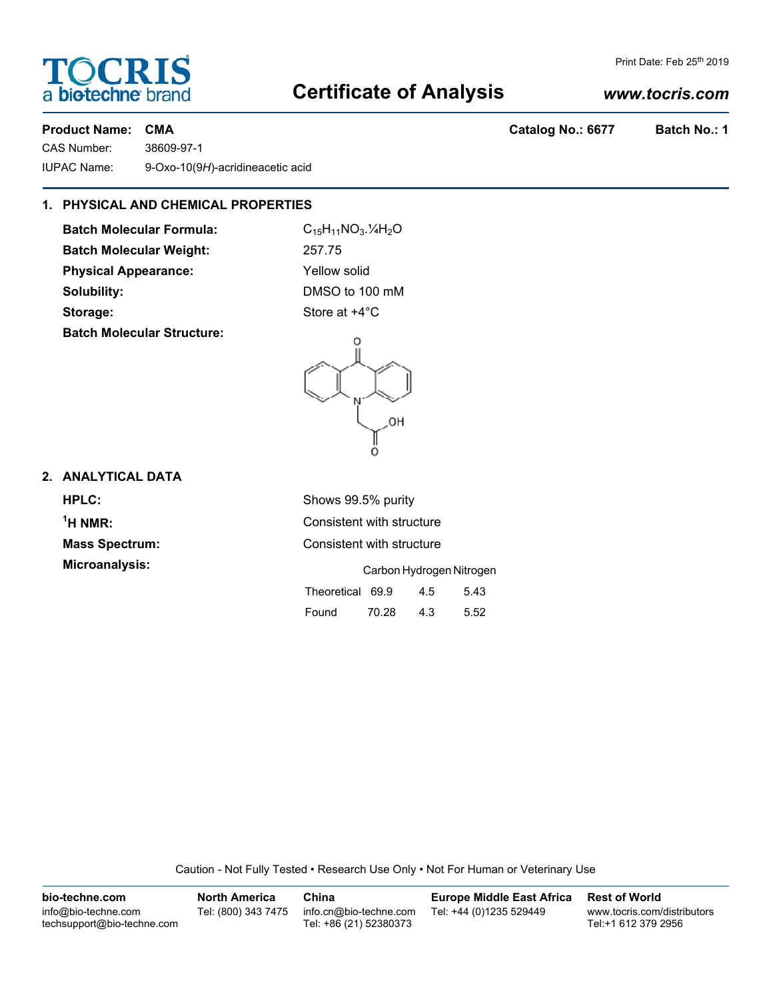## **Certificate of Analysis**

### *www.tocris.com*

Print Date: Feb 25<sup>th</sup> 2019

CAS Number: 38609-97-1 IUPAC Name: 9-Oxo-10(9*H*)-acridineacetic acid

#### **1. PHYSICAL AND CHEMICAL PROPERTIES**

**Batch Molecular Formula:** C<sub>15</sub>H<sub>11</sub>NO<sub>3</sub>.<sup>1</sup>/<sub>4</sub>H<sub>2</sub>O **Batch Molecular Weight:** 257.75 **Physical Appearance:** Yellow solid **Solubility:** DMSO to 100 mM **Storage:** Store at  $+4^{\circ}$ C **Batch Molecular Structure:**

# $\circ$

#### **2. ANALYTICAL DATA**

**HPLC:** Shows 99.5% purity  $<sup>1</sup>H NMR$ :</sup> **Consistent with structure Mass Spectrum:** Consistent with structure **Microanalysis:** Carbon Hydrogen Nitrogen Theoretical 69.9 4.5 5.43

Caution - Not Fully Tested • Research Use Only • Not For Human or Veterinary Use

| bio-techne.com                                    | <b>North America</b> | China                                            | <b>Europe Middle East Africa</b> | <b>Rest of World</b>                               |
|---------------------------------------------------|----------------------|--------------------------------------------------|----------------------------------|----------------------------------------------------|
| info@bio-techne.com<br>techsupport@bio-techne.com | Tel: (800) 343 7475  | info.cn@bio-techne.com<br>Tel: +86 (21) 52380373 | Tel: +44 (0)1235 529449          | www.tocris.com/distributors<br>Tel:+1 612 379 2956 |



Found 70.28 4.3 5.52

**Product Name: CMA Catalog No.: 6677 Batch No.: 1**